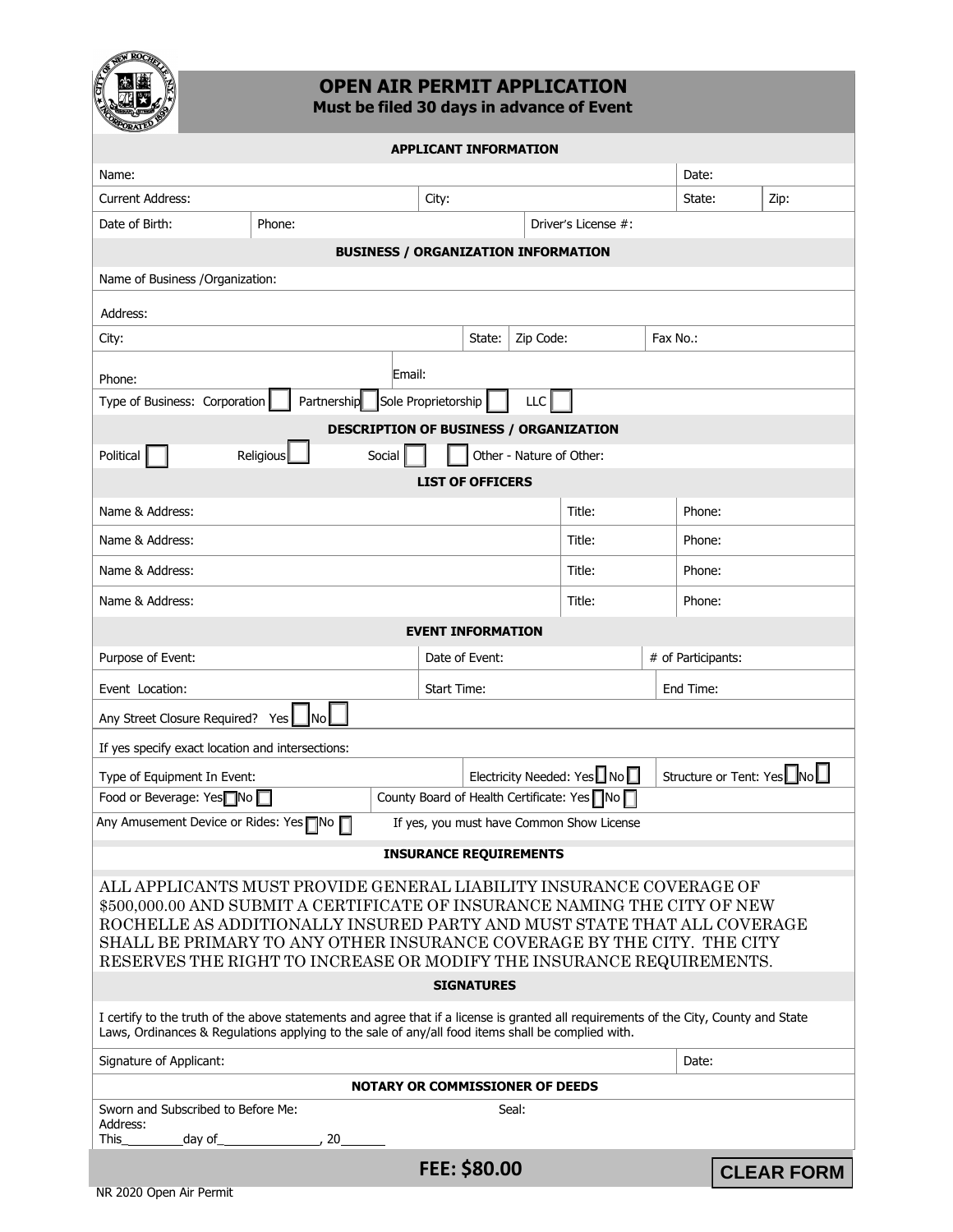

# **OPEN AIR PERMIT APPLICATION**

**Must be filed 30 days in advance of Event**

| <b>CORATE</b>                                                                                                                                                                                                                                                                                                                                                                 |                            |        |                            |  |
|-------------------------------------------------------------------------------------------------------------------------------------------------------------------------------------------------------------------------------------------------------------------------------------------------------------------------------------------------------------------------------|----------------------------|--------|----------------------------|--|
| <b>APPLICANT INFORMATION</b>                                                                                                                                                                                                                                                                                                                                                  |                            |        |                            |  |
| Name:                                                                                                                                                                                                                                                                                                                                                                         |                            |        | Date:                      |  |
| <b>Current Address:</b>                                                                                                                                                                                                                                                                                                                                                       | City:                      |        | Zip:<br>State:             |  |
| Date of Birth:<br>Phone:<br>Driver's License #:                                                                                                                                                                                                                                                                                                                               |                            |        |                            |  |
| <b>BUSINESS / ORGANIZATION INFORMATION</b>                                                                                                                                                                                                                                                                                                                                    |                            |        |                            |  |
| Name of Business / Organization:                                                                                                                                                                                                                                                                                                                                              |                            |        |                            |  |
| Address:                                                                                                                                                                                                                                                                                                                                                                      |                            |        |                            |  |
| Zip Code:<br>City:<br>State:<br>Fax No.:                                                                                                                                                                                                                                                                                                                                      |                            |        |                            |  |
| Email:<br>Phone:                                                                                                                                                                                                                                                                                                                                                              |                            |        |                            |  |
| Partnership Sole Proprietorship<br>Type of Business: Corporation<br>LLC                                                                                                                                                                                                                                                                                                       |                            |        |                            |  |
| DESCRIPTION OF BUSINESS / ORGANIZATION                                                                                                                                                                                                                                                                                                                                        |                            |        |                            |  |
| Political<br>Religious<br>Other - Nature of Other:<br>Social                                                                                                                                                                                                                                                                                                                  |                            |        |                            |  |
| <b>LIST OF OFFICERS</b>                                                                                                                                                                                                                                                                                                                                                       |                            |        |                            |  |
| Name & Address:                                                                                                                                                                                                                                                                                                                                                               |                            | Title: | Phone:                     |  |
| Name & Address:                                                                                                                                                                                                                                                                                                                                                               |                            | Title: | Phone:                     |  |
| Name & Address:                                                                                                                                                                                                                                                                                                                                                               |                            | Title: | Phone:                     |  |
| Name & Address:                                                                                                                                                                                                                                                                                                                                                               |                            |        | Phone:                     |  |
| <b>EVENT INFORMATION</b>                                                                                                                                                                                                                                                                                                                                                      |                            |        |                            |  |
| Purpose of Event:                                                                                                                                                                                                                                                                                                                                                             | Date of Event:             |        | # of Participants:         |  |
| Event Location:                                                                                                                                                                                                                                                                                                                                                               | <b>Start Time:</b>         |        | End Time:                  |  |
| Any Street Closure Required? Yes   No                                                                                                                                                                                                                                                                                                                                         |                            |        |                            |  |
| If yes specify exact location and intersections:                                                                                                                                                                                                                                                                                                                              |                            |        |                            |  |
| Type of Equipment In Event:                                                                                                                                                                                                                                                                                                                                                   | Electricity Needed: Yes No |        | Structure or Tent: YesLNoL |  |
| County Board of Health Certificate: Yes No<br>Food or Beverage: Yes <sup>n</sup> No                                                                                                                                                                                                                                                                                           |                            |        |                            |  |
| Any Amusement Device or Rides: Yes <sup>n</sup> No<br>If yes, you must have Common Show License                                                                                                                                                                                                                                                                               |                            |        |                            |  |
| <b>INSURANCE REQUIREMENTS</b>                                                                                                                                                                                                                                                                                                                                                 |                            |        |                            |  |
| ALL APPLICANTS MUST PROVIDE GENERAL LIABILITY INSURANCE COVERAGE OF<br>\$500,000.00 AND SUBMIT A CERTIFICATE OF INSURANCE NAMING THE CITY OF NEW<br>ROCHELLE AS ADDITIONALLY INSURED PARTY AND MUST STATE THAT ALL COVERAGE<br>SHALL BE PRIMARY TO ANY OTHER INSURANCE COVERAGE BY THE CITY. THE CITY<br>RESERVES THE RIGHT TO INCREASE OR MODIFY THE INSURANCE REQUIREMENTS. |                            |        |                            |  |
| <b>SIGNATURES</b>                                                                                                                                                                                                                                                                                                                                                             |                            |        |                            |  |
| I certify to the truth of the above statements and agree that if a license is granted all requirements of the City, County and State<br>Laws, Ordinances & Regulations applying to the sale of any/all food items shall be complied with.                                                                                                                                     |                            |        |                            |  |
| Signature of Applicant:                                                                                                                                                                                                                                                                                                                                                       |                            |        | Date:                      |  |
| <b>NOTARY OR COMMISSIONER OF DEEDS</b>                                                                                                                                                                                                                                                                                                                                        |                            |        |                            |  |
| Sworn and Subscribed to Before Me:<br>Address:<br>This<br>day of<br>20                                                                                                                                                                                                                                                                                                        | Seal:                      |        |                            |  |
|                                                                                                                                                                                                                                                                                                                                                                               | FEE: \$80.00               |        | <b>CLEAR FORM</b>          |  |